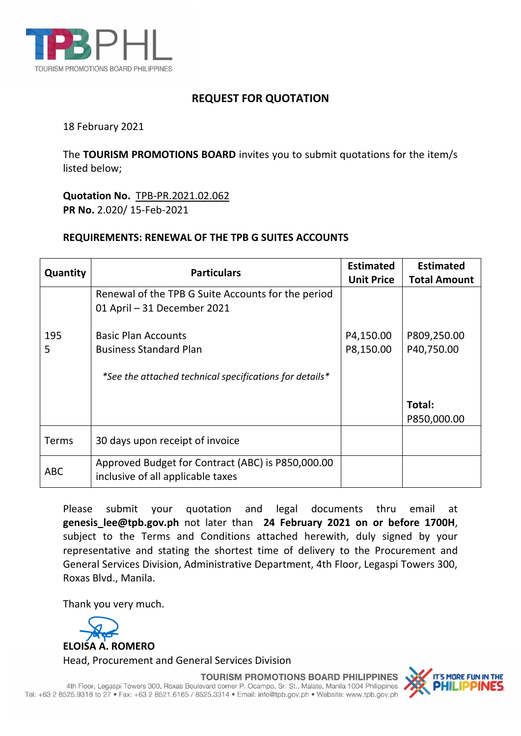

## **REQUEST FOR QUOTATION**

18 February 2021

The **TOURISM PROMOTIONS BOARD** invites you to submit quotations for the item/s listed below;

**Quotation No.** TPB-PR.2021.02.062 **PR No.** 2.020/ 15-Feb-2021

## **REQUIREMENTS: RENEWAL OF THE TPB G SUITES ACCOUNTS**

| Quantity   | <b>Particulars</b>                                      | <b>Estimated</b><br><b>Unit Price</b> | <b>Estimated</b><br><b>Total Amount</b> |
|------------|---------------------------------------------------------|---------------------------------------|-----------------------------------------|
|            | Renewal of the TPB G Suite Accounts for the period      |                                       |                                         |
|            | 01 April - 31 December 2021                             |                                       |                                         |
| 195        | <b>Basic Plan Accounts</b>                              | P4,150.00                             | P809,250.00                             |
| 5          | <b>Business Standard Plan</b>                           | P8,150.00                             | P40,750.00                              |
|            | *See the attached technical specifications for details* |                                       |                                         |
|            |                                                         |                                       | Total:                                  |
|            |                                                         |                                       | P850,000.00                             |
| Terms      | 30 days upon receipt of invoice                         |                                       |                                         |
| <b>ABC</b> | Approved Budget for Contract (ABC) is P850,000.00       |                                       |                                         |
|            | inclusive of all applicable taxes                       |                                       |                                         |

Please submit your quotation and legal documents thru email at **genesis\_lee@tpb.gov.ph** not later than **24 February 2021 on or before 1700H**, subject to the Terms and Conditions attached herewith, duly signed by your representative and stating the shortest time of delivery to the Procurement and General Services Division, Administrative Department, 4th Floor, Legaspi Towers 300, Roxas Blvd., Manila.

Thank you very much.



**TOURISM PROMOTIONS BOARD PHILIPPINES** 

4th Floor, Legaspi Towers 300, Roxas Boulevard corner P. Ocampo, Sr. St., Malate, Manila 1004 Philippines Tel: +63 2 8525.9318 to 27 · Fax: +63 2 8521.6165 / 8525.3314 · Email: info@tpb.gov.ph · Website: www.tpb.gov.ph